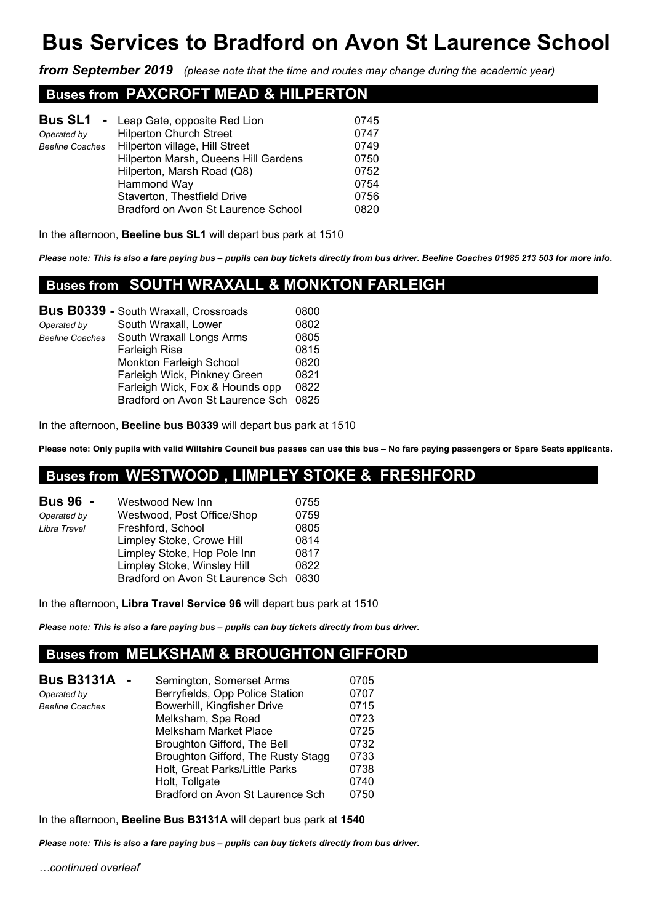# **Bus Services to Bradford on Avon St Laurence School**

*from September 2019 (please note that the time and routes may change during the academic year)*

### **Buses from PAXCROFT MEAD & HILPERTON .**

|                        | <b>Bus SL1</b> - Leap Gate, opposite Red Lion | 0745 |
|------------------------|-----------------------------------------------|------|
| Operated by            | <b>Hilperton Church Street</b>                | 0747 |
| <b>Beeline Coaches</b> | Hilperton village, Hill Street                | 0749 |
|                        | Hilperton Marsh, Queens Hill Gardens          | 0750 |
|                        | Hilperton, Marsh Road (Q8)                    | 0752 |
|                        | Hammond Way                                   | 0754 |
|                        | Staverton, Thestfield Drive                   | 0756 |
|                        | Bradford on Avon St Laurence School           | 0820 |
|                        |                                               |      |

In the afternoon, **Beeline bus SL1** will depart bus park at 1510

*Please note: This is also a fare paying bus – pupils can buy tickets directly from bus driver. Beeline Coaches 01985 213 503 for more info.* 

### **Buses from SOUTH WRAXALL & MONKTON FARLEIGH .**

| <b>Bus B0339 - South Wraxall, Crossroads</b> | 0800                             |
|----------------------------------------------|----------------------------------|
| South Wraxall, Lower                         | 0802                             |
| South Wraxall Longs Arms                     | 0805                             |
| <b>Farleigh Rise</b>                         | 0815                             |
| Monkton Farleigh School                      | 0820                             |
| Farleigh Wick, Pinkney Green                 | 0821                             |
| Farleigh Wick, Fox & Hounds opp              | 0822                             |
|                                              | 0825                             |
|                                              | Bradford on Avon St Laurence Sch |

In the afternoon, **Beeline bus B0339** will depart bus park at 1510

**Please note: Only pupils with valid Wiltshire Council bus passes can use this bus – No fare paying passengers or Spare Seats applicants.**

# **Buses from WESTWOOD , LIMPLEY STOKE & FRESHFORD .**

| <b>Bus 96 -</b> | Westwood New Inn                 | 0755 |
|-----------------|----------------------------------|------|
| Operated by     | Westwood, Post Office/Shop       | 0759 |
| Libra Travel    | Freshford, School                | 0805 |
|                 | Limpley Stoke, Crowe Hill        | 0814 |
|                 | Limpley Stoke, Hop Pole Inn      | 0817 |
|                 | Limpley Stoke, Winsley Hill      | 0822 |
|                 | Bradford on Avon St Laurence Sch | 0830 |

In the afternoon, **Libra Travel Service 96** will depart bus park at 1510

*Please note: This is also a fare paying bus – pupils can buy tickets directly from bus driver.*

## **Buses from MELKSHAM & BROUGHTON GIFFORD**

| <b>Bus B3131A</b>      | Semington, Somerset Arms           | 0705 |
|------------------------|------------------------------------|------|
| Operated by            | Berryfields, Opp Police Station    | 0707 |
| <b>Beeline Coaches</b> | Bowerhill, Kingfisher Drive        | 0715 |
|                        | Melksham, Spa Road                 | 0723 |
|                        | <b>Melksham Market Place</b>       | 0725 |
|                        | Broughton Gifford, The Bell        | 0732 |
|                        | Broughton Gifford, The Rusty Stagg | 0733 |
|                        | Holt, Great Parks/Little Parks     | 0738 |
|                        | Holt, Tollgate                     | 0740 |
|                        | Bradford on Avon St Laurence Sch   | 0750 |

In the afternoon, **Beeline Bus B3131A** will depart bus park at **1540** 

*Please note: This is also a fare paying bus – pupils can buy tickets directly from bus driver.*

*…continued overleaf*